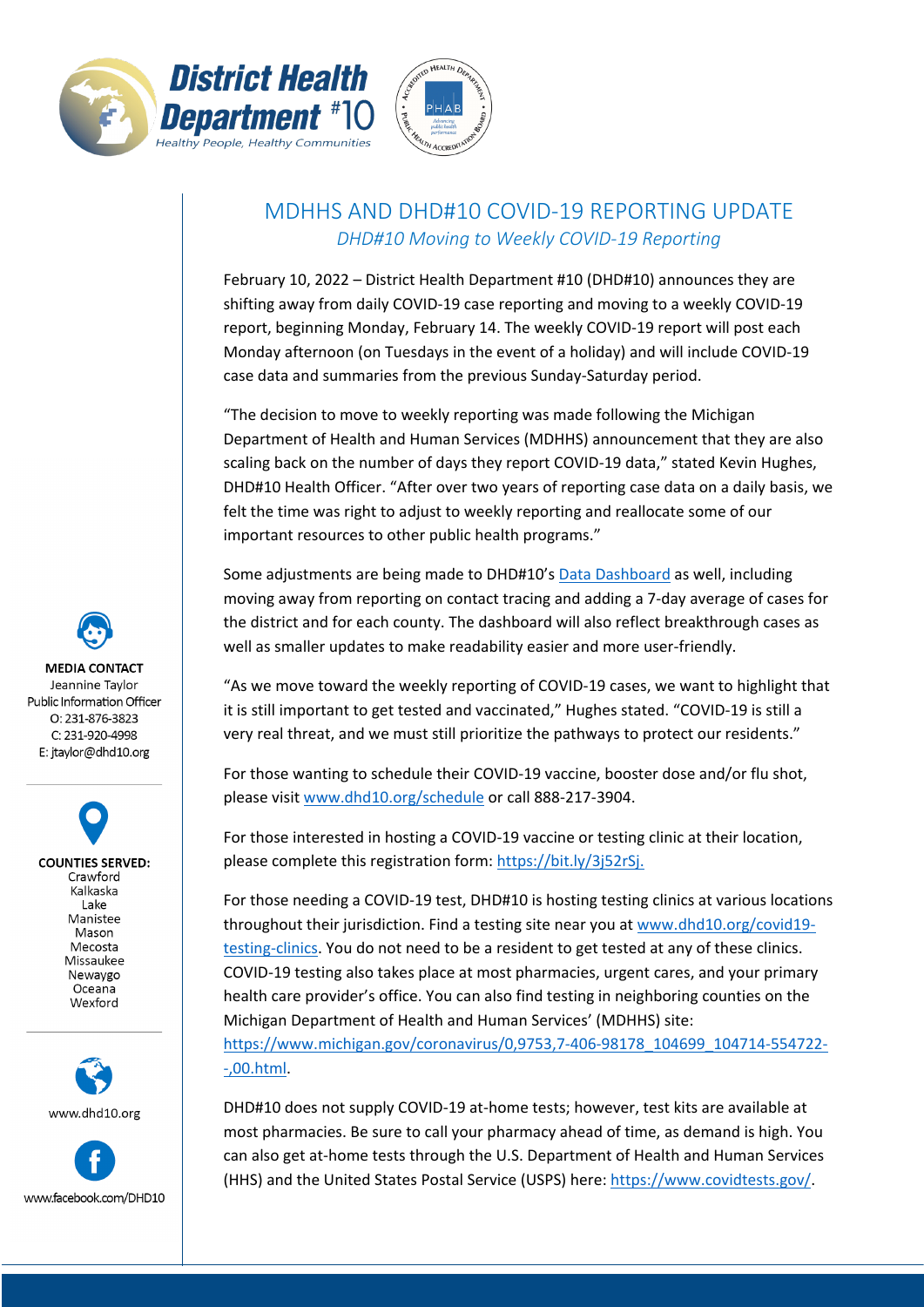



## MDHHS AND DHD#10 COVID-19 REPORTING UPDATE *DHD#10 Moving to Weekly COVID-19 Reporting*

February 10, 2022 – District Health Department #10 (DHD#10) announces they are shifting away from daily COVID-19 case reporting and moving to a weekly COVID-19 report, beginning Monday, February 14. The weekly COVID-19 report will post each Monday afternoon (on Tuesdays in the event of a holiday) and will include COVID-19 case data and summaries from the previous Sunday-Saturday period.

"The decision to move to weekly reporting was made following the Michigan Department of Health and Human Services (MDHHS) announcement that they are also scaling back on the number of days they report COVID-19 data," stated Kevin Hughes, DHD#10 Health Officer. "After over two years of reporting case data on a daily basis, we felt the time was right to adjust to weekly reporting and reallocate some of our important resources to other public health programs."

Some adjustments are being made to DHD#10's Data [Dashboard](https://www.dhd10.org/coronavirus/data-dashboard/) as well, including moving away from reporting on contact tracing and adding a 7-day average of cases for the district and for each county. The dashboard will also reflect breakthrough cases as well as smaller updates to make readability easier and more user-friendly.

"As we move toward the weekly reporting of COVID-19 cases, we want to highlight that it is still important to get tested and vaccinated," Hughes stated. "COVID-19 is still a very real threat, and we must still prioritize the pathways to protect our residents."

For those wanting to schedule their COVID-19 vaccine, booster dose and/or flu shot, please visit [www.dhd10.org/schedule](http://www.dhd10.org/schedule) or call 888-217-3904.

For those interested in hosting a COVID-19 vaccine or testing clinic at their location, please complete this registration form: [https://bit.ly/3j52rSj.](https://bit.ly/3j52rSj)

For those needing a COVID-19 test, DHD#10 is hosting testing clinics at various locations throughout their jurisdiction. Find a testing site near you a[t www.dhd10.org/covid19](http://www.dhd10.org/covid19-testing-clinics) [testing-clinics.](http://www.dhd10.org/covid19-testing-clinics) You do not need to be a resident to get tested at any of these clinics. COVID-19 testing also takes place at most pharmacies, urgent cares, and your primary health care provider's office. You can also find testing in neighboring counties on the Michigan Department of Health and Human Services' (MDHHS) site: [https://www.michigan.gov/coronavirus/0,9753,7-406-98178\\_104699\\_104714-554722-](https://www.michigan.gov/coronavirus/0,9753,7-406-98178_104699_104714-554722--,00.html) [-,00.html.](https://www.michigan.gov/coronavirus/0,9753,7-406-98178_104699_104714-554722--,00.html)

DHD#10 does not supply COVID-19 at-home tests; however, test kits are available at most pharmacies. Be sure to call your pharmacy ahead of time, as demand is high. You can also get at-home tests through the U.S. Department of Health and Human Services (HHS) and the United States Postal Service (USPS) here[: https://www.covidtests.gov/.](https://www.covidtests.gov/)

**MEDIA CONTACT** Jeannine Taylor Public Information Officer O: 231-876-3823 C: 231-920-4998 E: jtaylor@dhd10.org

> **COUNTIES SERVED:** Crawford Kalkaska Lake Manistee Mason Mecosta Missaukee Newaygo Oceana Wexford